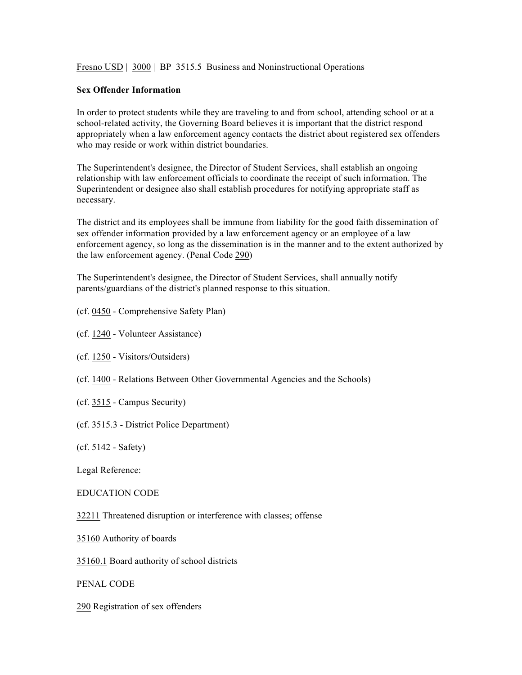Fresno USD | 3000 | BP 3515.5 Business and Noninstructional Operations

## **Sex Offender Information**

In order to protect students while they are traveling to and from school, attending school or at a school-related activity, the Governing Board believes it is important that the district respond appropriately when a law enforcement agency contacts the district about registered sex offenders who may reside or work within district boundaries.

The Superintendent's designee, the Director of Student Services, shall establish an ongoing relationship with law enforcement officials to coordinate the receipt of such information. The Superintendent or designee also shall establish procedures for notifying appropriate staff as necessary.

The district and its employees shall be immune from liability for the good faith dissemination of sex offender information provided by a law enforcement agency or an employee of a law enforcement agency, so long as the dissemination is in the manner and to the extent authorized by the law enforcement agency. (Penal Code 290)

The Superintendent's designee, the Director of Student Services, shall annually notify parents/guardians of the district's planned response to this situation.

- (cf. 0450 Comprehensive Safety Plan)
- (cf. 1240 Volunteer Assistance)
- (cf. 1250 Visitors/Outsiders)
- (cf. 1400 Relations Between Other Governmental Agencies and the Schools)
- (cf. 3515 Campus Security)
- (cf. 3515.3 District Police Department)
- (cf. 5142 Safety)

Legal Reference:

EDUCATION CODE

32211 Threatened disruption or interference with classes; offense

35160 Authority of boards

35160.1 Board authority of school districts

PENAL CODE

290 Registration of sex offenders